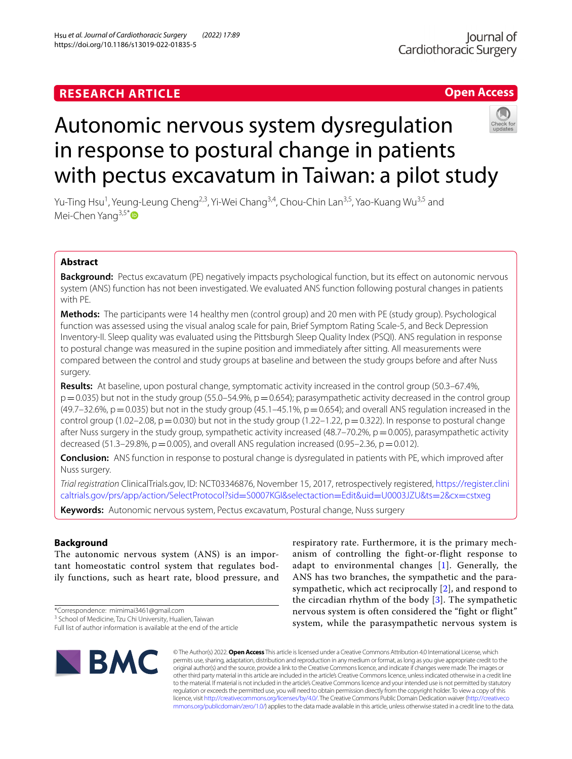# **Open Access**



# Autonomic nervous system dysregulation in response to postural change in patients with pectus excavatum in Taiwan: a pilot study

Yu-Ting Hsu<sup>1</sup>, Yeung-Leung Cheng<sup>2,3</sup>, Yi-Wei Chang<sup>3,4</sup>, Chou-Chin Lan<sup>3,5</sup>, Yao-Kuang Wu<sup>3,5</sup> and Mei-Chen Yang<sup>3,5[\\*](http://orcid.org/0000-0002-6503-5189)</sup>

# **Abstract**

**Background:** Pectus excavatum (PE) negatively impacts psychological function, but its efect on autonomic nervous system (ANS) function has not been investigated. We evaluated ANS function following postural changes in patients with PE.

**Methods:** The participants were 14 healthy men (control group) and 20 men with PE (study group). Psychological function was assessed using the visual analog scale for pain, Brief Symptom Rating Scale-5, and Beck Depression Inventory-II. Sleep quality was evaluated using the Pittsburgh Sleep Quality Index (PSQI). ANS regulation in response to postural change was measured in the supine position and immediately after sitting. All measurements were compared between the control and study groups at baseline and between the study groups before and after Nuss surgery.

**Results:** At baseline, upon postural change, symptomatic activity increased in the control group (50.3–67.4%,  $p=0.035$ ) but not in the study group (55.0–54.9%,  $p=0.654$ ); parasympathetic activity decreased in the control group  $(49.7–32.6\%)$ , p=0.035) but not in the study group  $(45.1–45.1\%)$ , p=0.654); and overall ANS regulation increased in the control group (1.02–2.08,  $p = 0.030$ ) but not in the study group (1.22–1.22,  $p = 0.322$ ). In response to postural change after Nuss surgery in the study group, sympathetic activity increased (48.7–70.2%,  $p=0.005$ ), parasympathetic activity decreased (51.3–29.8%,  $p = 0.005$ ), and overall ANS regulation increased (0.95–2.36,  $p = 0.012$ ).

**Conclusion:** ANS function in response to postural change is dysregulated in patients with PE, which improved after Nuss surgery.

*Trial registration* ClinicalTrials.gov, ID: NCT03346876, November 15, 2017, retrospectively registered, [https://register.clini](https://register.clinicaltrials.gov/prs/app/action/SelectProtocol?sid=S0007KGI&selectaction=Edit&uid=U0003JZU&ts=2&cx=cstxeg) [caltrials.gov/prs/app/action/SelectProtocol?sid](https://register.clinicaltrials.gov/prs/app/action/SelectProtocol?sid=S0007KGI&selectaction=Edit&uid=U0003JZU&ts=2&cx=cstxeg)=S0007KGI&selectaction=Edit&uid=U0003JZU&ts=2&cx=cstxeg

**Keywords:** Autonomic nervous system, Pectus excavatum, Postural change, Nuss surgery

# **Background**

The autonomic nervous system (ANS) is an important homeostatic control system that regulates bodily functions, such as heart rate, blood pressure, and

**BMC** 

respiratory rate. Furthermore, it is the primary mechanism of controlling the fight-or-flight response to adapt to environmental changes [[1\]](#page-6-0). Generally, the ANS has two branches, the sympathetic and the parasympathetic, which act reciprocally [\[2](#page-6-1)], and respond to the circadian rhythm of the body  $[3]$  $[3]$ . The sympathetic nervous system is often considered the "fight or flight" system, while the parasympathetic nervous system is

© The Author(s) 2022. **Open Access** This article is licensed under a Creative Commons Attribution 4.0 International License, which permits use, sharing, adaptation, distribution and reproduction in any medium or format, as long as you give appropriate credit to the original author(s) and the source, provide a link to the Creative Commons licence, and indicate if changes were made. The images or other third party material in this article are included in the article's Creative Commons licence, unless indicated otherwise in a credit line to the material. If material is not included in the article's Creative Commons licence and your intended use is not permitted by statutory regulation or exceeds the permitted use, you will need to obtain permission directly from the copyright holder. To view a copy of this licence, visi[t http://creativecommons.org/licenses/by/4.0/.](http://creativecommons.org/licenses/by/4.0/) The Creative Commons Public Domain Dedication waiver ([http://creativeco](http://creativecommons.org/publicdomain/zero/1.0/) [mmons.org/publicdomain/zero/1.0/](http://creativecommons.org/publicdomain/zero/1.0/)) applies to the data made available in this article, unless otherwise stated in a credit line to the data.

<sup>\*</sup>Correspondence: mimimai3461@gmail.com

<sup>&</sup>lt;sup>3</sup> School of Medicine, Tzu Chi University, Hualien, Taiwan

Full list of author information is available at the end of the article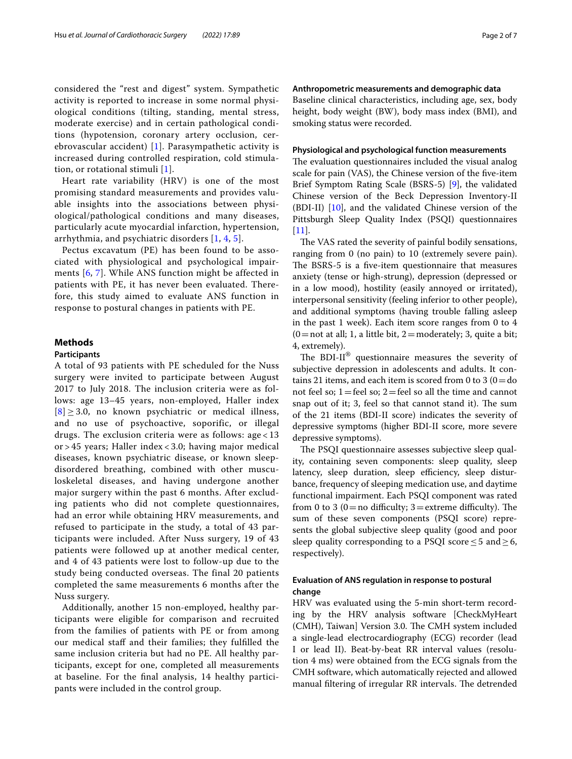considered the "rest and digest" system. Sympathetic activity is reported to increase in some normal physiological conditions (tilting, standing, mental stress, moderate exercise) and in certain pathological conditions (hypotension, coronary artery occlusion, cerebrovascular accident) [\[1\]](#page-6-0). Parasympathetic activity is increased during controlled respiration, cold stimulation, or rotational stimuli [[1\]](#page-6-0).

Heart rate variability (HRV) is one of the most promising standard measurements and provides valuable insights into the associations between physiological/pathological conditions and many diseases, particularly acute myocardial infarction, hypertension, arrhythmia, and psychiatric disorders [[1](#page-6-0), [4](#page-6-3), [5](#page-6-4)].

Pectus excavatum (PE) has been found to be associated with physiological and psychological impairments [[6](#page-6-5), [7\]](#page-6-6). While ANS function might be affected in patients with PE, it has never been evaluated. Therefore, this study aimed to evaluate ANS function in response to postural changes in patients with PE.

## **Methods**

## **Participants**

A total of 93 patients with PE scheduled for the Nuss surgery were invited to participate between August 2017 to July 2018. The inclusion criteria were as follows: age 13–45 years, non-employed, Haller index  $[8] \geq 3.0$  $[8] \geq 3.0$  $[8] \geq 3.0$ , no known psychiatric or medical illness, and no use of psychoactive, soporific, or illegal drugs. The exclusion criteria were as follows: age < 13 or > 45 years; Haller index < 3.0; having major medical diseases, known psychiatric disease, or known sleepdisordered breathing, combined with other musculoskeletal diseases, and having undergone another major surgery within the past 6 months. After excluding patients who did not complete questionnaires, had an error while obtaining HRV measurements, and refused to participate in the study, a total of 43 participants were included. After Nuss surgery, 19 of 43 patients were followed up at another medical center, and 4 of 43 patients were lost to follow-up due to the study being conducted overseas. The final 20 patients completed the same measurements 6 months after the Nuss surgery.

Additionally, another 15 non-employed, healthy participants were eligible for comparison and recruited from the families of patients with PE or from among our medical staff and their families; they fulfilled the same inclusion criteria but had no PE. All healthy participants, except for one, completed all measurements at baseline. For the fnal analysis, 14 healthy participants were included in the control group.

### **Anthropometric measurements and demographic data**

Baseline clinical characteristics, including age, sex, body height, body weight (BW), body mass index (BMI), and smoking status were recorded.

#### **Physiological and psychological function measurements**

The evaluation questionnaires included the visual analog scale for pain (VAS), the Chinese version of the fve-item Brief Symptom Rating Scale (BSRS-5) [[9\]](#page-6-8), the validated Chinese version of the Beck Depression Inventory-II (BDI-II) [\[10\]](#page-6-9), and the validated Chinese version of the Pittsburgh Sleep Quality Index (PSQI) questionnaires [[11\]](#page-6-10).

The VAS rated the severity of painful bodily sensations, ranging from 0 (no pain) to 10 (extremely severe pain). The BSRS-5 is a five-item questionnaire that measures anxiety (tense or high-strung), depression (depressed or in a low mood), hostility (easily annoyed or irritated), interpersonal sensitivity (feeling inferior to other people), and additional symptoms (having trouble falling asleep in the past 1 week). Each item score ranges from 0 to 4  $(0=$  not at all; 1, a little bit, 2 = moderately; 3, quite a bit; 4, extremely).

The BDI-II<sup>®</sup> questionnaire measures the severity of subjective depression in adolescents and adults. It contains 21 items, and each item is scored from 0 to 3  $(0=d\sigma)$ not feel so;  $1 =$  feel so;  $2 =$  feel so all the time and cannot snap out of it; 3, feel so that cannot stand it). The sum of the 21 items (BDI-II score) indicates the severity of depressive symptoms (higher BDI-II score, more severe depressive symptoms).

The PSQI questionnaire assesses subjective sleep quality, containing seven components: sleep quality, sleep latency, sleep duration, sleep efficiency, sleep disturbance, frequency of sleeping medication use, and daytime functional impairment. Each PSQI component was rated from 0 to 3 ( $0 =$ no difficulty; 3 = extreme difficulty). The sum of these seven components (PSQI score) represents the global subjective sleep quality (good and poor sleep quality corresponding to a PSQI score  $\leq$  5 and  $\geq$  6, respectively).

## **Evaluation of ANS regulation in response to postural change**

HRV was evaluated using the 5-min short-term recording by the HRV analysis software [CheckMyHeart (CMH), Taiwan] Version 3.0. The CMH system included a single-lead electrocardiography (ECG) recorder (lead I or lead II). Beat-by-beat RR interval values (resolution 4 ms) were obtained from the ECG signals from the CMH software, which automatically rejected and allowed manual filtering of irregular RR intervals. The detrended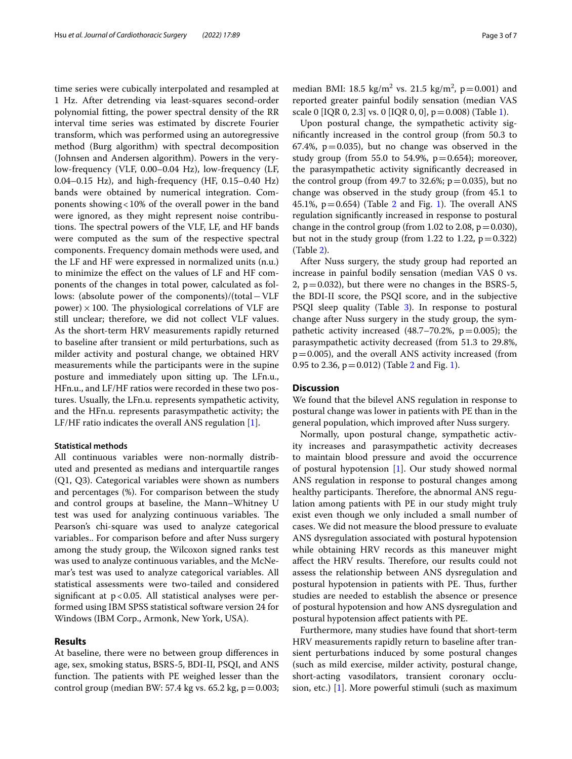time series were cubically interpolated and resampled at 1 Hz. After detrending via least-squares second-order polynomial ftting, the power spectral density of the RR interval time series was estimated by discrete Fourier transform, which was performed using an autoregressive method (Burg algorithm) with spectral decomposition (Johnsen and Andersen algorithm). Powers in the verylow-frequency (VLF, 0.00–0.04 Hz), low-frequency (LF, 0.04–0.15 Hz), and high-frequency (HF, 0.15–0.40 Hz) bands were obtained by numerical integration. Components showing<10% of the overall power in the band were ignored, as they might represent noise contributions. The spectral powers of the VLF, LF, and HF bands were computed as the sum of the respective spectral components. Frequency domain methods were used, and the LF and HF were expressed in normalized units (n.u.) to minimize the efect on the values of LF and HF components of the changes in total power, calculated as follows: (absolute power of the components)/(total−VLF  $power) \times 100$ . The physiological correlations of VLF are still unclear; therefore, we did not collect VLF values. As the short-term HRV measurements rapidly returned to baseline after transient or mild perturbations, such as milder activity and postural change, we obtained HRV measurements while the participants were in the supine posture and immediately upon sitting up. The LFn.u., HFn.u., and LF/HF ratios were recorded in these two postures. Usually, the LFn.u. represents sympathetic activity, and the HFn.u. represents parasympathetic activity; the LF/HF ratio indicates the overall ANS regulation [[1\]](#page-6-0).

## **Statistical methods**

All continuous variables were non-normally distributed and presented as medians and interquartile ranges (Q1, Q3). Categorical variables were shown as numbers and percentages (%). For comparison between the study and control groups at baseline, the Mann–Whitney U test was used for analyzing continuous variables. The Pearson's chi-square was used to analyze categorical variables.. For comparison before and after Nuss surgery among the study group, the Wilcoxon signed ranks test was used to analyze continuous variables, and the McNemar's test was used to analyze categorical variables. All statistical assessments were two-tailed and considered significant at  $p < 0.05$ . All statistical analyses were performed using IBM SPSS statistical software version 24 for Windows (IBM Corp., Armonk, New York, USA).

#### **Results**

At baseline, there were no between group diferences in age, sex, smoking status, BSRS-5, BDI-II, PSQI, and ANS function. The patients with PE weighed lesser than the control group (median BW: 57.4 kg vs. 65.2 kg,  $p = 0.003$ ;

median BMI: 18.5  $\text{kg/m}^2$  vs. 21.5  $\text{kg/m}^2$ , p=0.001) and reported greater painful bodily sensation (median VAS scale 0 [IQR 0, 2.3] vs. 0 [IQR 0, 0],  $p = 0.008$ ) (Table [1](#page-3-0)).

Upon postural change, the sympathetic activity signifcantly increased in the control group (from 50.3 to 67.4%,  $p=0.035$ ), but no change was observed in the study group (from 55.0 to 54.9%,  $p=0.654$ ); moreover, the parasympathetic activity signifcantly decreased in the control group (from 49.7 to 32.6%;  $p = 0.035$ ), but no change was observed in the study group (from 45.1 to 45.[1](#page-4-0)%,  $p=0.654$ ) (Table [2](#page-3-1) and Fig. 1). The overall ANS regulation signifcantly increased in response to postural change in the control group (from 1.02 to 2.08,  $p = 0.030$ ), but not in the study group (from 1.22 to 1.22,  $p=0.322$ ) (Table [2\)](#page-3-1).

After Nuss surgery, the study group had reported an increase in painful bodily sensation (median VAS 0 vs. 2,  $p=0.032$ ), but there were no changes in the BSRS-5, the BDI-II score, the PSQI score, and in the subjective PSQI sleep quality (Table [3\)](#page-4-1). In response to postural change after Nuss surgery in the study group, the sympathetic activity increased (48.7–70.2%,  $p=0.005$ ); the parasympathetic activity decreased (from 51.3 to 29.8%,  $p=0.005$ ), and the overall ANS activity increased (from 0.95 to 2.36,  $p = 0.012$ ) (Table [2](#page-3-1) and Fig. [1\)](#page-4-0).

## **Discussion**

We found that the bilevel ANS regulation in response to postural change was lower in patients with PE than in the general population, which improved after Nuss surgery.

Normally, upon postural change, sympathetic activity increases and parasympathetic activity decreases to maintain blood pressure and avoid the occurrence of postural hypotension [\[1](#page-6-0)]. Our study showed normal ANS regulation in response to postural changes among healthy participants. Therefore, the abnormal ANS regulation among patients with PE in our study might truly exist even though we only included a small number of cases. We did not measure the blood pressure to evaluate ANS dysregulation associated with postural hypotension while obtaining HRV records as this maneuver might affect the HRV results. Therefore, our results could not assess the relationship between ANS dysregulation and postural hypotension in patients with PE. Thus, further studies are needed to establish the absence or presence of postural hypotension and how ANS dysregulation and postural hypotension afect patients with PE.

Furthermore, many studies have found that short-term HRV measurements rapidly return to baseline after transient perturbations induced by some postural changes (such as mild exercise, milder activity, postural change, short-acting vasodilators, transient coronary occlusion, etc.) [[1\]](#page-6-0). More powerful stimuli (such as maximum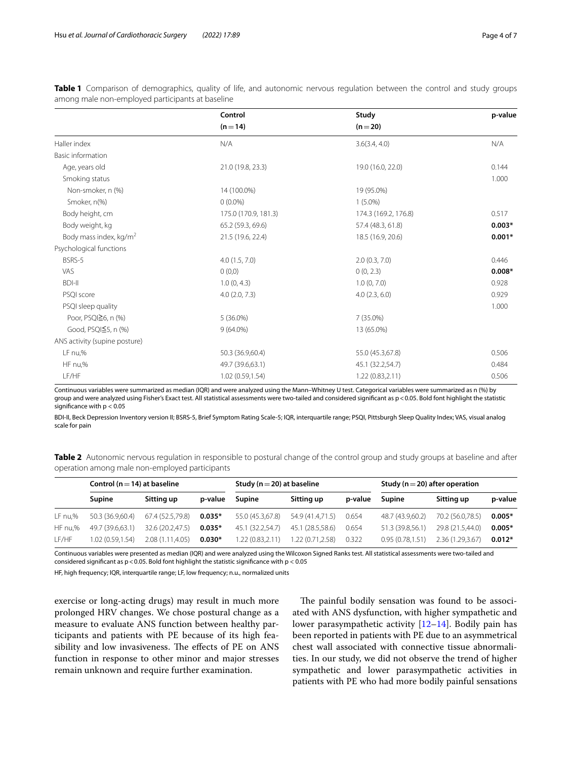|                                    | Control              | Study                | p-value  |
|------------------------------------|----------------------|----------------------|----------|
|                                    | $(n=14)$             | $(n=20)$             |          |
| Haller index                       | N/A                  | 3.6(3.4, 4.0)        | N/A      |
| Basic information                  |                      |                      |          |
| Age, years old                     | 21.0 (19.8, 23.3)    | 19.0 (16.0, 22.0)    | 0.144    |
| Smoking status                     |                      |                      | 1.000    |
| Non-smoker, n (%)                  | 14 (100.0%)          | 19 (95.0%)           |          |
| Smoker, n(%)                       | $0(0.0\%)$           | $1(5.0\%)$           |          |
| Body height, cm                    | 175.0 (170.9, 181.3) | 174.3 (169.2, 176.8) | 0.517    |
| Body weight, kg                    | 65.2 (59.3, 69.6)    | 57.4 (48.3, 61.8)    | $0.003*$ |
| Body mass index, kg/m <sup>2</sup> | 21.5 (19.6, 22.4)    | 18.5 (16.9, 20.6)    | $0.001*$ |
| Psychological functions            |                      |                      |          |
| BSRS-5                             | 4.0(1.5, 7.0)        | 2.0(0.3, 7.0)        | 0.446    |
| VAS                                | (0,0)                | 0(0, 2.3)            | $0.008*$ |
| <b>BDI-II</b>                      | 1.0(0, 4.3)          | 1.0(0, 7.0)          | 0.928    |
| PSQI score                         | 4.0(2.0, 7.3)        | 4.0(2.3, 6.0)        | 0.929    |
| PSQI sleep quality                 |                      |                      | 1.000    |
| Poor, PSQI≧6, n (%)                | $5(36.0\%)$          | $7(35.0\%)$          |          |
| Good, PSQI≦5, n (%)                | $9(64.0\%)$          | 13 (65.0%)           |          |
| ANS activity (supine posture)      |                      |                      |          |
| LF nu,%                            | 50.3 (36.9,60.4)     | 55.0 (45.3,67.8)     | 0.506    |
| HF nu,%                            | 49.7 (39.6,63.1)     | 45.1 (32.2,54.7)     | 0.484    |
| LF/HF                              | 1.02(0.59, 1.54)     | 1.22(0.83, 2.11)     | 0.506    |

<span id="page-3-0"></span>**Table 1** Comparison of demographics, quality of life, and autonomic nervous regulation between the control and study groups among male non-employed participants at baseline

Continuous variables were summarized as median (IQR) and were analyzed using the Mann–Whitney U test. Categorical variables were summarized as n (%) by group and were analyzed using Fisher's Exact test. All statistical assessments were two-tailed and considered signifcant as p<0.05. Bold font highlight the statistic signifcance with p < 0.05

BDI-II, Beck Depression Inventory version II; BSRS-5, Brief Symptom Rating Scale-5; IQR, interquartile range; PSQI, Pittsburgh Sleep Quality Index; VAS, visual analog scale for pain

<span id="page-3-1"></span>

| Table 2 Autonomic nervous regulation in responsible to postural change of the control group and study groups at baseline and after |  |  |  |
|------------------------------------------------------------------------------------------------------------------------------------|--|--|--|
| operation among male non-employed participants                                                                                     |  |  |  |

|         | Control ( $n = 14$ ) at baseline |                  |          | Study ( $n = 20$ ) at baseline |                  |         | Study ( $n = 20$ ) after operation |                  |          |
|---------|----------------------------------|------------------|----------|--------------------------------|------------------|---------|------------------------------------|------------------|----------|
|         | Supine                           | Sitting up       | p-value  | Supine                         | Sitting up       | p-value | <b>Supine</b>                      | Sitting up       | p-value  |
| LF nu,% | 50.3 (36.9.60.4)                 | 67.4 (52.5.79.8) | $0.035*$ | 55.0 (45.3,67.8)               | 54.9 (41.4.71.5) | 0.654   | 48.7 (43.9.60.2)                   | 70.2 (56.0.78.5) | $0.005*$ |
| HF nu,% | 49.7 (39.6.63.1)                 | 32.6 (20.2,47.5) | $0.035*$ | 45.1 (32.2.54.7)               | 45.1 (28.5.58.6) | 0.654   | 51.3 (39.8.56.1)                   | 29.8 (21.5.44.0) | $0.005*$ |
| LF/HF   | 1.02 (0.59.1.54)                 | 2.08 (1.11.4.05) | $0.030*$ | 1.22 (0.83.2.11)               | 1.22 (0.71,2.58) | 0.322   | 0.95(0.78.1.51)                    | 2.36 (1.29,3.67) | $0.012*$ |

Continuous variables were presented as median (IQR) and were analyzed using the Wilcoxon Signed Ranks test. All statistical assessments were two-tailed and considered significant as  $p < 0.05$ . Bold font highlight the statistic significance with  $p < 0.05$ 

HF, high frequency; IQR, interquartile range; LF, low frequency; n.u., normalized units

exercise or long-acting drugs) may result in much more prolonged HRV changes. We chose postural change as a measure to evaluate ANS function between healthy participants and patients with PE because of its high feasibility and low invasiveness. The effects of PE on ANS function in response to other minor and major stresses remain unknown and require further examination.

The painful bodily sensation was found to be associated with ANS dysfunction, with higher sympathetic and lower parasympathetic activity  $[12-14]$  $[12-14]$ . Bodily pain has been reported in patients with PE due to an asymmetrical chest wall associated with connective tissue abnormalities. In our study, we did not observe the trend of higher sympathetic and lower parasympathetic activities in patients with PE who had more bodily painful sensations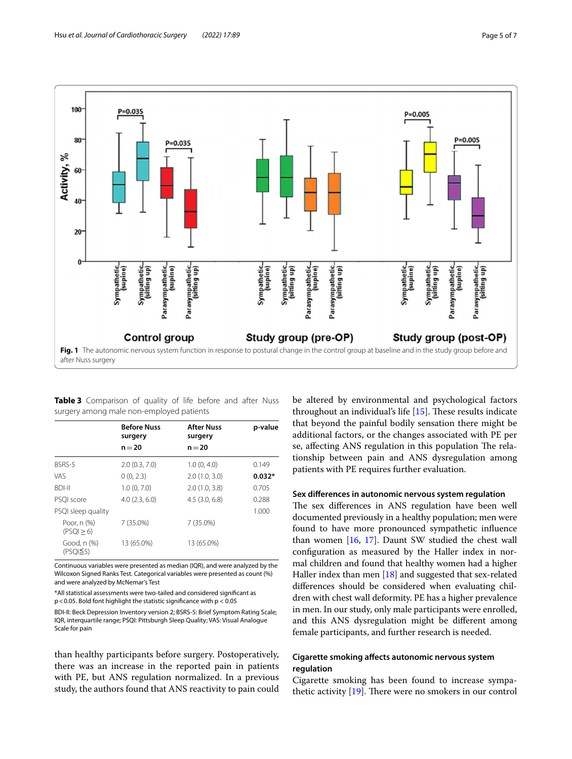

<span id="page-4-1"></span><span id="page-4-0"></span>

| Table 3 Comparison of quality of life before and after Nuss |  |  |  |  |
|-------------------------------------------------------------|--|--|--|--|
| surgery among male non-employed patients                    |  |  |  |  |

|                                    | <b>Before Nuss</b><br>surgery | <b>After Nuss</b><br>surgery | p-value  |
|------------------------------------|-------------------------------|------------------------------|----------|
|                                    | $n = 20$                      | $n = 20$                     |          |
| BSRS-5                             | 2.0(0.3, 7.0)                 | 1.0(0, 4.0)                  | 0.149    |
| VAS                                | 0(0, 2.3)                     | 2.0(1.0, 3.0)                | $0.032*$ |
| <b>BDI-II</b>                      | 1.0(0, 7.0)                   | 2.0(1.0, 3.8)                | 0.705    |
| PSOI score                         | 4.0(2.3, 6.0)                 | $4.5$ $(3.0, 6.8)$           | 0.288    |
| PSQI sleep quality                 |                               |                              | 1.000    |
| Poor, n (%)<br>(PSQI > 6)          | 7 (35.0%)                     | $7(35.0\%)$                  |          |
| Good, n (%)<br>(PSO <sup>5</sup> ) | 13 (65.0%)                    | 13 (65.0%)                   |          |

Continuous variables were presented as median (IQR), and were analyzed by the Wilcoxon Signed Ranks Test. Categorical variables were presented as count (%) and were analyzed by McNemar's Test

\*All statistical assessments were two-tailed and considered signifcant as p<0.05. Bold font highlight the statistic signifcance with p < 0.05

BDI-II: Beck Depression Inventory version 2; BSRS-5: Brief Symptom Rating Scale; IQR, interquartile range; PSQI: Pittsburgh Sleep Quality; VAS: Visual Analogue Scale for pain

than healthy participants before surgery. Postoperatively, there was an increase in the reported pain in patients with PE, but ANS regulation normalized. In a previous study, the authors found that ANS reactivity to pain could be altered by environmental and psychological factors throughout an individual's life  $[15]$  $[15]$ . These results indicate that beyond the painful bodily sensation there might be additional factors, or the changes associated with PE per se, affecting ANS regulation in this population The relationship between pain and ANS dysregulation among patients with PE requires further evaluation.

## **Sex diferences in autonomic nervous system regulation**

The sex differences in ANS regulation have been well documented previously in a healthy population; men were found to have more pronounced sympathetic infuence than women [[16,](#page-6-14) [17](#page-6-15)]. Daunt SW studied the chest wall confguration as measured by the Haller index in normal children and found that healthy women had a higher Haller index than men [\[18\]](#page-6-16) and suggested that sex-related diferences should be considered when evaluating children with chest wall deformity. PE has a higher prevalence in men. In our study, only male participants were enrolled, and this ANS dysregulation might be diferent among female participants, and further research is needed.

## **Cigarette smoking afects autonomic nervous system regulation**

Cigarette smoking has been found to increase sympathetic activity  $[19]$  $[19]$ . There were no smokers in our control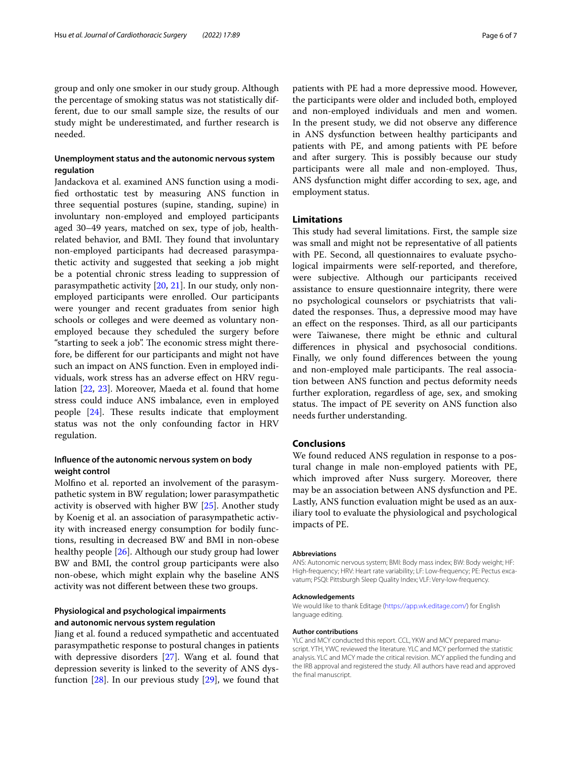group and only one smoker in our study group. Although the percentage of smoking status was not statistically different, due to our small sample size, the results of our study might be underestimated, and further research is needed.

## **Unemployment status and the autonomic nervous system regulation**

Jandackova et al. examined ANS function using a modifed orthostatic test by measuring ANS function in three sequential postures (supine, standing, supine) in involuntary non-employed and employed participants aged 30–49 years, matched on sex, type of job, healthrelated behavior, and BMI. They found that involuntary non-employed participants had decreased parasympathetic activity and suggested that seeking a job might be a potential chronic stress leading to suppression of parasympathetic activity [[20,](#page-6-18) [21\]](#page-6-19). In our study, only nonemployed participants were enrolled. Our participants were younger and recent graduates from senior high schools or colleges and were deemed as voluntary nonemployed because they scheduled the surgery before "starting to seek a job". The economic stress might therefore, be diferent for our participants and might not have such an impact on ANS function. Even in employed individuals, work stress has an adverse efect on HRV regulation [[22](#page-6-20), [23\]](#page-6-21). Moreover, Maeda et al. found that home stress could induce ANS imbalance, even in employed people  $[24]$  $[24]$ . These results indicate that employment status was not the only confounding factor in HRV regulation.

## **Infuence of the autonomic nervous system on body weight control**

Molfno et al. reported an involvement of the parasympathetic system in BW regulation; lower parasympathetic activity is observed with higher BW [[25](#page-6-23)]. Another study by Koenig et al. an association of parasympathetic activity with increased energy consumption for bodily functions, resulting in decreased BW and BMI in non-obese healthy people [\[26](#page-6-24)]. Although our study group had lower BW and BMI, the control group participants were also non-obese, which might explain why the baseline ANS activity was not diferent between these two groups.

## **Physiological and psychological impairments and autonomic nervous system regulation**

Jiang et al. found a reduced sympathetic and accentuated parasympathetic response to postural changes in patients with depressive disorders [[27\]](#page-6-25). Wang et al. found that depression severity is linked to the severity of ANS dysfunction  $[28]$ . In our previous study  $[29]$  $[29]$  $[29]$ , we found that patients with PE had a more depressive mood. However, the participants were older and included both, employed and non-employed individuals and men and women. In the present study, we did not observe any diference in ANS dysfunction between healthy participants and patients with PE, and among patients with PE before and after surgery. This is possibly because our study participants were all male and non-employed. Thus, ANS dysfunction might difer according to sex, age, and employment status.

## **Limitations**

This study had several limitations. First, the sample size was small and might not be representative of all patients with PE. Second, all questionnaires to evaluate psychological impairments were self-reported, and therefore, were subjective. Although our participants received assistance to ensure questionnaire integrity, there were no psychological counselors or psychiatrists that validated the responses. Thus, a depressive mood may have an effect on the responses. Third, as all our participants were Taiwanese, there might be ethnic and cultural diferences in physical and psychosocial conditions. Finally, we only found diferences between the young and non-employed male participants. The real association between ANS function and pectus deformity needs further exploration, regardless of age, sex, and smoking status. The impact of PE severity on ANS function also needs further understanding.

## **Conclusions**

We found reduced ANS regulation in response to a postural change in male non-employed patients with PE, which improved after Nuss surgery. Moreover, there may be an association between ANS dysfunction and PE. Lastly, ANS function evaluation might be used as an auxiliary tool to evaluate the physiological and psychological impacts of PE.

#### **Abbreviations**

ANS: Autonomic nervous system; BMI: Body mass index; BW: Body weight; HF: High-frequency; HRV: Heart rate variability; LF: Low-frequency; PE: Pectus excavatum; PSQI: Pittsburgh Sleep Quality Index; VLF: Very-low-frequency.

#### **Acknowledgements**

We would like to thank Editage (<https://app.wk.editage.com/>) for English language editing.

#### **Author contributions**

YLC and MCY conducted this report. CCL, YKW and MCY prepared manuscript. YTH, YWC reviewed the literature. YLC and MCY performed the statistic analysis. YLC and MCY made the critical revision. MCY applied the funding and the IRB approval and registered the study. All authors have read and approved the fnal manuscript.